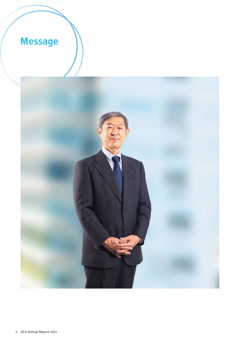## **Message**